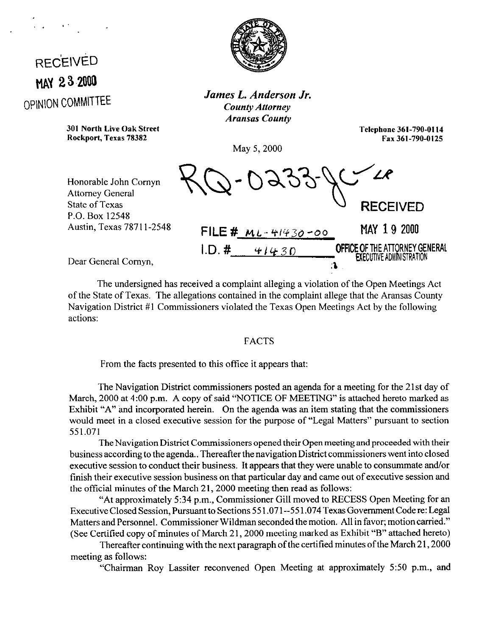## **RECEIVED MAY 23.2000 OPINION COMMITTEE**

. . .'



*James L. Anderson Jr. County Attorney Aransas County* 

*301* **North Live Oak Street Rockport, Texas 78382** 

**Telephone 361-790-0114 Fax 361-790-0125** 

May 5, 2000

Honorable John Comyn Attorney General State of Texas P.O. Box 12548 Austin, Texas 7871 l-2548

KQ-0233-YC RECEIVED FILE # ML.- **y/v30 -00** MAY 19 2000  $I.D. # 41430$  **OFFICE OF THE ATTORNEY GENERAL** = The TEXECUTIVE ADMINISTRATION<br>CN

Dear General Comyn,

The undersigned has received a complaint alleging a violation of the Open Meetings Act of the State of Texas. The allegations contained in the complaint allege that the Aransas County Navigation District #l Commissioners violated the Texas Open Meetings Act by the following actions:

## FACTS

From the facts presented to this office it appears that:

The Navigation District commissioners posted an agenda for a meeting for the 21st day of March, 2000 at 4:00 p.m. A copy of said "NOTICE OF MEETING" is attached hereto marked as Exhibit "A" and incorporated herein. On the agenda was an item stating that the commissioners would meet in a closed executive session for the purpose of "Legal Matters" pursuant to section 551.071

The Navigation District Commissioners opened their Open meeting and proceeded with their business according to the agenda.. Thereafter the navigation District commissioners went into closed executive session to conduct their business. It appears that they were unable to consummate and/or finish their executive session business on that particular day and came out of executive session and the official minutes of the March 21, 2000 meeting then read as follows:

"At approximately 5:34 p.m., Commissioner Gill moved to RECESS Open Meeting for an Executive Closed Session, Pursuant to Sections 55 1.071--55 1.074 Texas Government Code re: Legal Matters and Personnel. Commissioner Wildman seconded the motion. All in favor; motioncarried." (See Certified copy of minutes of March 21,200O meeting marked as Exhibit "B" attached hereto)

Thereafter continuing with the next paragraph of the certified minutes of the March 21,200O meeting as follows:

"Chairman Roy Lassiter reconvened Open Meeting at approximately 5:50 p.m., and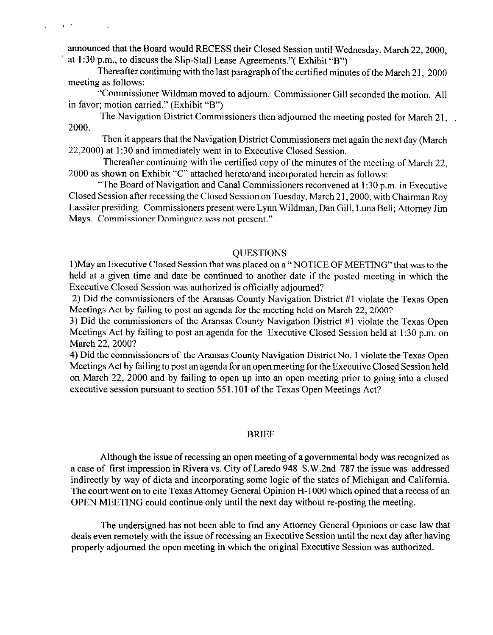announced that the Board would RECESS their Closed Session until Wednesday, March 22,2000, at  $1:30$  p.m., to discuss the Slip-Stall Lease Agreements."(Exhibit "B")

 $\mathbf{v} \in \mathcal{T}$  ,  $\mathbf{v} \in \mathcal{V}$ 

 $\sim$ 

Thereafter continuing with the last paragraph of the certified minutes of the March 21, 2000 meeting as follows:

'Commissioner Wildman moved to adjourn. Commissioner Gill seconded the motion. All in favor; motion carried." (Exhibit "B")

The Navigation District Commissioners then adjourned the meeting posted for March 21, 2000.

Then it appears that the Navigation District Commissioners met again the next day (March 22,200O) at 1:30 and immediately went in to Executive Closed Session.

Thereafter continuing with the certified copy of the minutes of the meeting of March 22, 2000 as shown on Exhibit "C" attached hereto and incorporated herein as follows:

"The Board of Navigation and Canal Commissioners reconvened at 1:30 p.m. in Executive Closed Session after recessing the Closed Session on Tuesday, March 21,2000, with Chairman Roy Lassiter presiding. Commissioners present were Lynn Wildman, Dan Gill, Luna Bell; Attorney Jim Mays. Commissioner Dominguez was not present."

## **OUESTIONS**

l)May an Executive Closed Session that was placed on a " NOTICE OF MEETING" that was to the held at a given time and date be continued to another date if the posted meeting in which the Executive Closed Session was authorized is officially adjourned?

2) Did the commissioners of the Aransas County Navigation District #l violate the Texas Open Meetings Act by failing to post an agenda for the meeting held on March 22, 2000?

3) Did the commissioners of the Aransas County Navigation District #l violate the Texas Open Meetings Act by failing to post an agenda for the Executive Closed Session held at 1:30 p.m. on March 22, 2000?

4) Did the commissioners of the Aransas County Navigation District No. 1 violate the Texas Open Meetings Act by failing to post an agenda for an open meeting for the Executive Closed Session held on March 22, 2000 and by failing to open up into an open meeting prior to going into a closed executive session pursuant to section 551.101 of the Texas Open Meetings Act?

## BRIEF

Although the issue of recessing an open meeting of a governmental body was recognized as a case of first impression in Rivera vs. City of Laredo 948 S.W.2nd 787 the issue was addressed indirectly by way of dicta and incorporating some logic of the states of Michigan and California. The court went on to cite Texas Attorney General Opinion H-l 000 which opined that a recess of an OPEN MEETING could continue only until the next day without re-posting the meeting.

The undersigned has not been able to find any Attorney General Opinions or case law that deals even remotely with the issue of recessing an Executive Session until the next day after having properly adjourned the open meeting in which the original Executive Session was authorized.